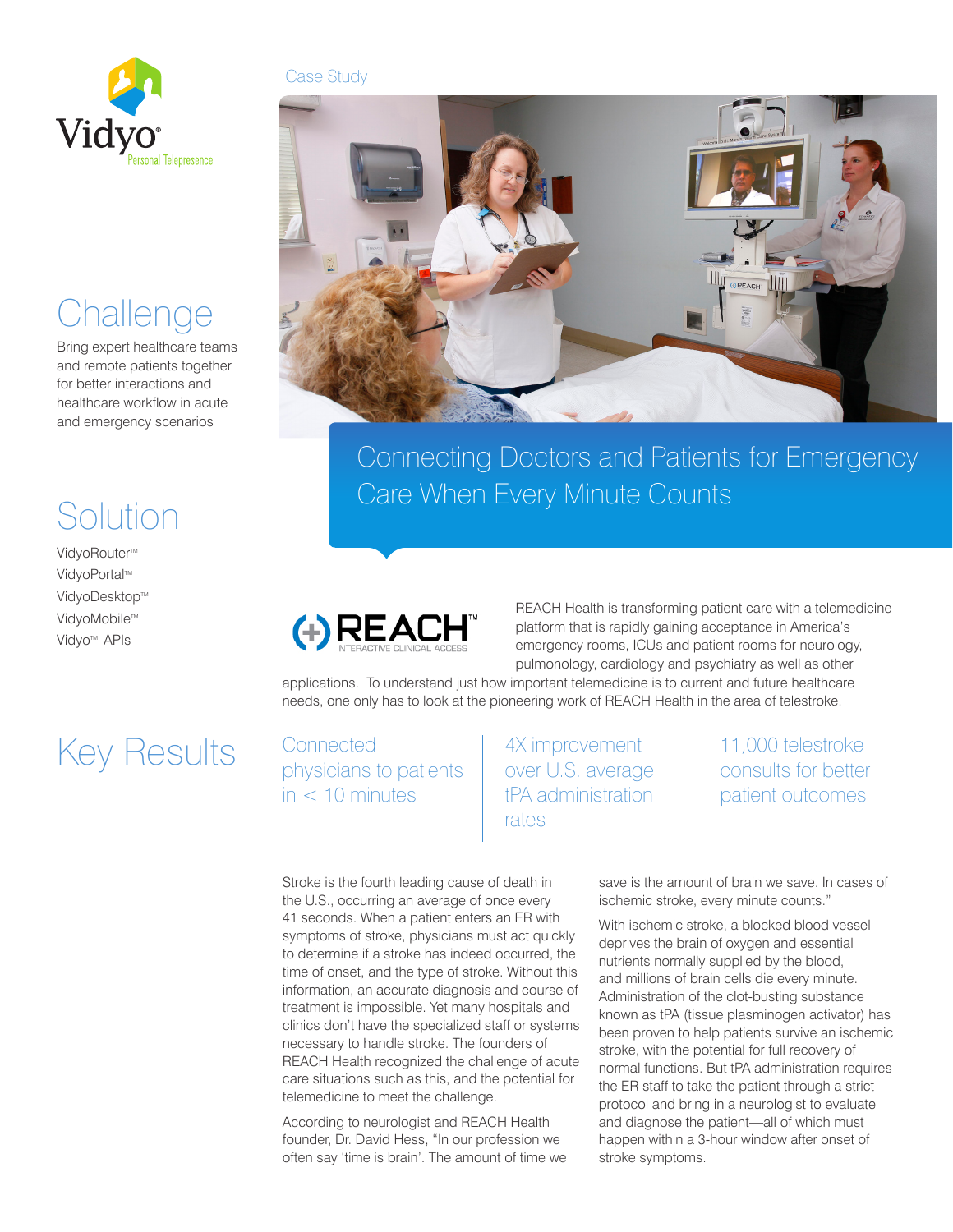

**Challenge** 

Solution

VidyoRouter™ VidyoPortal™ VidyoDesktop™ VidyoMobile™ Vidyo<sup>™</sup> APIs

Bring expert healthcare teams and remote patients together for better interactions and healthcare workflow in acute and emergency scenarios

# Case Study



Connecting Doctors and Patients for Emergency Care When Every Minute Counts



REACH Health is transforming patient care with a telemedicine platform that is rapidly gaining acceptance in America's emergency rooms, ICUs and patient rooms for neurology, pulmonology, cardiology and psychiatry as well as other

applications. To understand just how important telemedicine is to current and future healthcare needs, one only has to look at the pioneering work of REACH Health in the area of telestroke.

# Key Results

**Connected** physicians to patients  $in < 10$  minutes

4X improvement over U.S. average tPA administration rates

11,000 telestroke consults for better patient outcomes

save is the amount of brain we save. In cases of ischemic stroke, every minute counts."

With ischemic stroke, a blocked blood vessel deprives the brain of oxygen and essential nutrients normally supplied by the blood, and millions of brain cells die every minute. Administration of the clot-busting substance known as tPA (tissue plasminogen activator) has been proven to help patients survive an ischemic stroke, with the potential for full recovery of normal functions. But tPA administration requires the ER staff to take the patient through a strict protocol and bring in a neurologist to evaluate and diagnose the patient—all of which must happen within a 3-hour window after onset of stroke symptoms.

Stroke is the fourth leading cause of death in the U.S., occurring an average of once every 41 seconds. When a patient enters an ER with symptoms of stroke, physicians must act quickly to determine if a stroke has indeed occurred, the time of onset, and the type of stroke. Without this information, an accurate diagnosis and course of treatment is impossible. Yet many hospitals and clinics don't have the specialized staff or systems necessary to handle stroke. The founders of REACH Health recognized the challenge of acute care situations such as this, and the potential for telemedicine to meet the challenge.

According to neurologist and REACH Health founder, Dr. David Hess, "In our profession we often say 'time is brain'. The amount of time we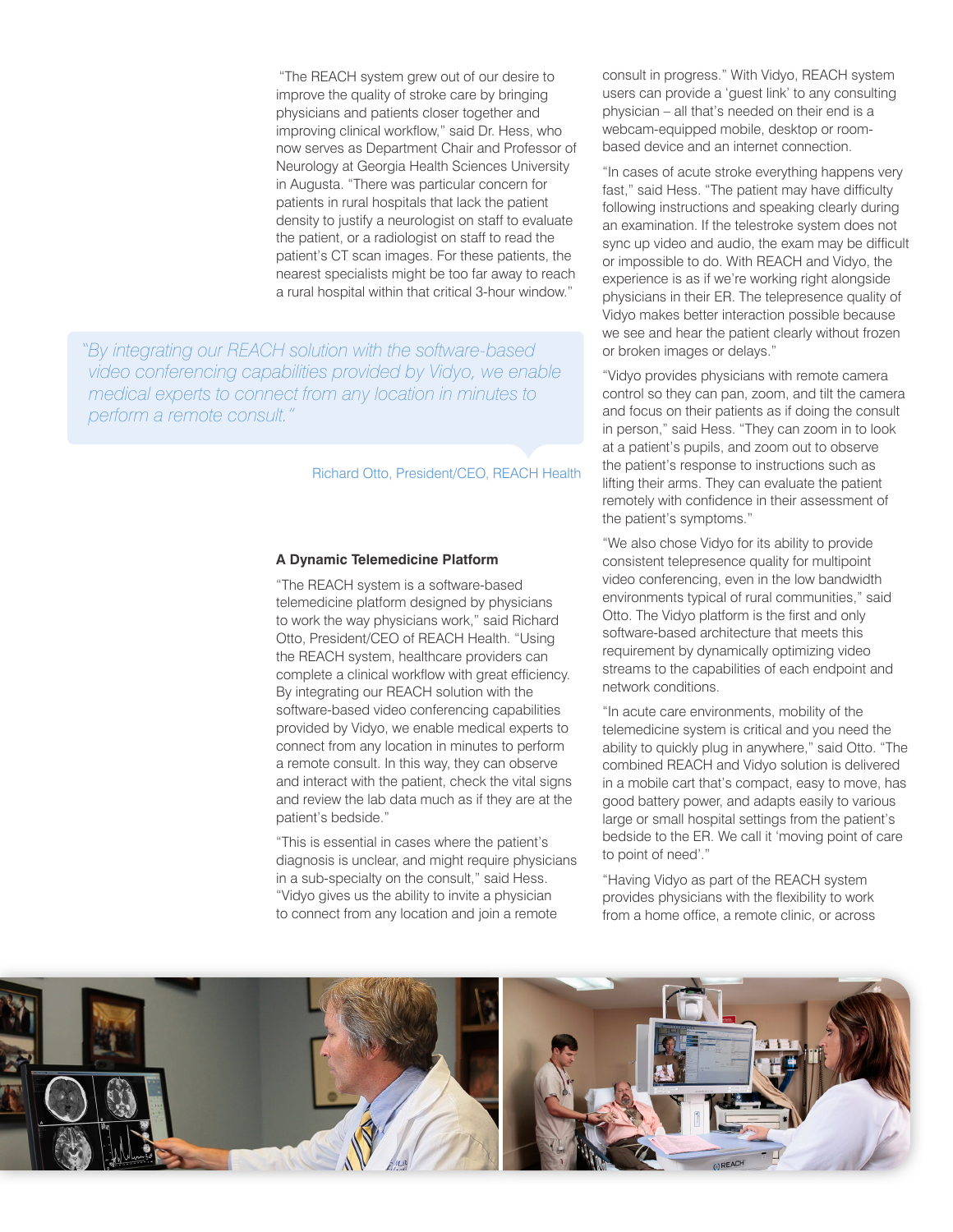"The REACH system grew out of our desire to improve the quality of stroke care by bringing physicians and patients closer together and improving clinical workflow," said Dr. Hess, who now serves as Department Chair and Professor of Neurology at Georgia Health Sciences University in Augusta. "There was particular concern for patients in rural hospitals that lack the patient density to justify a neurologist on staff to evaluate the patient, or a radiologist on staff to read the patient's CT scan images. For these patients, the nearest specialists might be too far away to reach a rural hospital within that critical 3-hour window."

*"By integrating our REACH solution with the software-based video conferencing capabilities provided by Vidyo, we enable medical experts to connect from any location in minutes to perform a remote consult."* 

## Richard Otto, President/CEO, REACH Health

#### **A Dynamic Telemedicine Platform**

"The REACH system is a software-based telemedicine platform designed by physicians to work the way physicians work," said Richard Otto, President/CEO of REACH Health. "Using the REACH system, healthcare providers can complete a clinical workflow with great efficiency. By integrating our REACH solution with the software-based video conferencing capabilities provided by Vidyo, we enable medical experts to connect from any location in minutes to perform a remote consult. In this way, they can observe and interact with the patient, check the vital signs and review the lab data much as if they are at the patient's bedside."

"This is essential in cases where the patient's diagnosis is unclear, and might require physicians in a sub-specialty on the consult," said Hess. "Vidyo gives us the ability to invite a physician to connect from any location and join a remote

consult in progress." With Vidyo, REACH system users can provide a 'guest link' to any consulting physician – all that's needed on their end is a webcam-equipped mobile, desktop or roombased device and an internet connection.

"In cases of acute stroke everything happens very fast," said Hess. "The patient may have difficulty following instructions and speaking clearly during an examination. If the telestroke system does not sync up video and audio, the exam may be difficult or impossible to do. With REACH and Vidyo, the experience is as if we're working right alongside physicians in their ER. The telepresence quality of Vidyo makes better interaction possible because we see and hear the patient clearly without frozen or broken images or delays."

"Vidyo provides physicians with remote camera control so they can pan, zoom, and tilt the camera and focus on their patients as if doing the consult in person," said Hess. "They can zoom in to look at a patient's pupils, and zoom out to observe the patient's response to instructions such as lifting their arms. They can evaluate the patient remotely with confidence in their assessment of the patient's symptoms."

"We also chose Vidyo for its ability to provide consistent telepresence quality for multipoint video conferencing, even in the low bandwidth environments typical of rural communities," said Otto. The Vidyo platform is the first and only software-based architecture that meets this requirement by dynamically optimizing video streams to the capabilities of each endpoint and network conditions.

"In acute care environments, mobility of the telemedicine system is critical and you need the ability to quickly plug in anywhere," said Otto. "The combined REACH and Vidyo solution is delivered in a mobile cart that's compact, easy to move, has good battery power, and adapts easily to various large or small hospital settings from the patient's bedside to the ER. We call it 'moving point of care to point of need'."

"Having Vidyo as part of the REACH system provides physicians with the flexibility to work from a home office, a remote clinic, or across

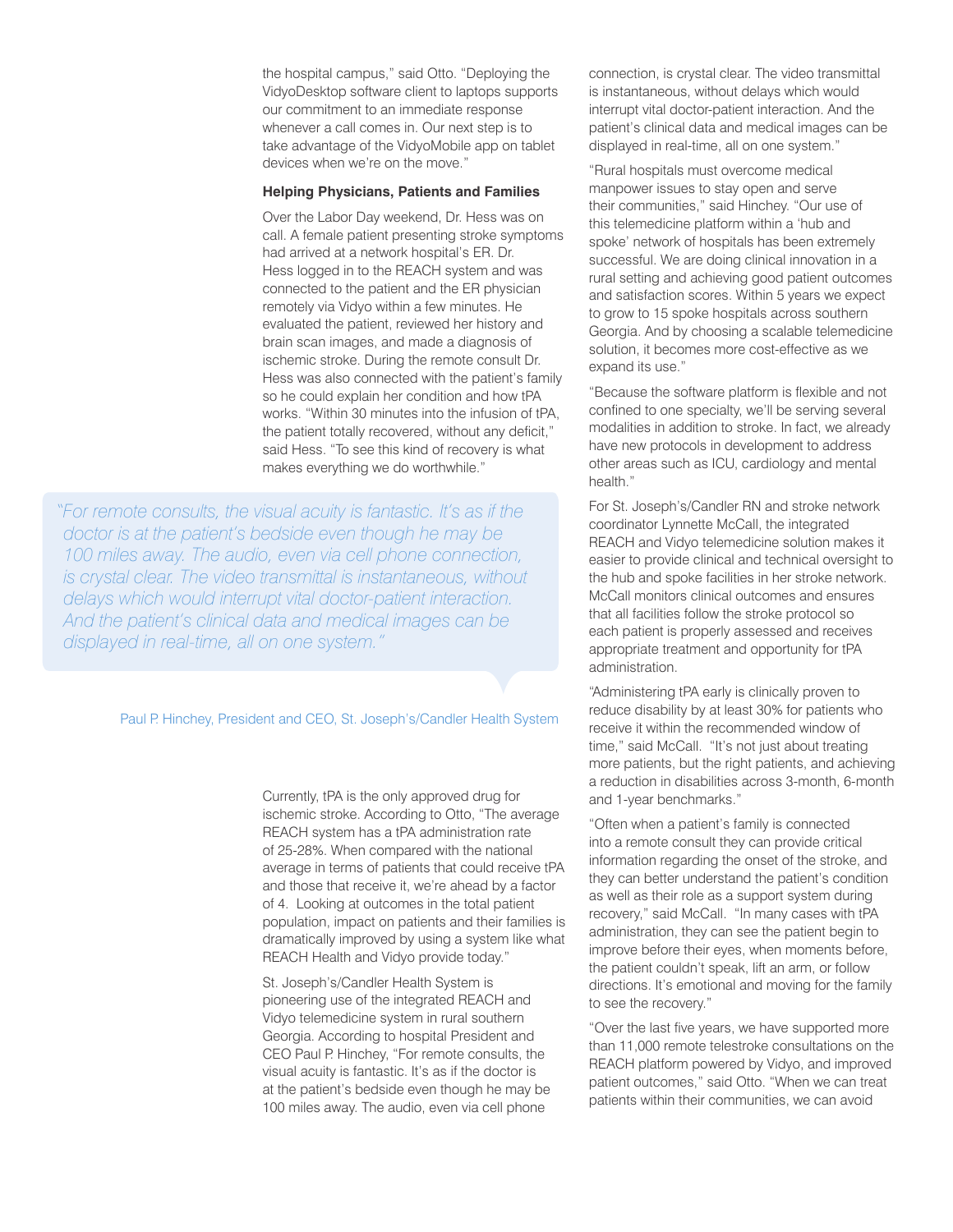the hospital campus," said Otto. "Deploying the VidyoDesktop software client to laptops supports our commitment to an immediate response whenever a call comes in. Our next step is to take advantage of the VidyoMobile app on tablet devices when we're on the move."

#### **Helping Physicians, Patients and Families**

Over the Labor Day weekend, Dr. Hess was on call. A female patient presenting stroke symptoms had arrived at a network hospital's ER. Dr. Hess logged in to the REACH system and was connected to the patient and the ER physician remotely via Vidyo within a few minutes. He evaluated the patient, reviewed her history and brain scan images, and made a diagnosis of ischemic stroke. During the remote consult Dr. Hess was also connected with the patient's family so he could explain her condition and how tPA works. "Within 30 minutes into the infusion of tPA, the patient totally recovered, without any deficit," said Hess. "To see this kind of recovery is what makes everything we do worthwhile."

*"For remote consults, the visual acuity is fantastic. It's as if the doctor is at the patient's bedside even though he may be 100 miles away. The audio, even via cell phone connection, is crystal clear. The video transmittal is instantaneous, without delays which would interrupt vital doctor-patient interaction. And the patient's clinical data and medical images can be displayed in real-time, all on one system."*

## Paul P. Hinchey, President and CEO, St. Joseph's/Candler Health System

Currently, tPA is the only approved drug for ischemic stroke. According to Otto, "The average REACH system has a tPA administration rate of 25-28%. When compared with the national average in terms of patients that could receive tPA and those that receive it, we're ahead by a factor of 4. Looking at outcomes in the total patient population, impact on patients and their families is dramatically improved by using a system like what REACH Health and Vidyo provide today."

St. Joseph's/Candler Health System is pioneering use of the integrated REACH and Vidyo telemedicine system in rural southern Georgia. According to hospital President and CEO Paul P. Hinchey, "For remote consults, the visual acuity is fantastic. It's as if the doctor is at the patient's bedside even though he may be 100 miles away. The audio, even via cell phone

connection, is crystal clear. The video transmittal is instantaneous, without delays which would interrupt vital doctor-patient interaction. And the patient's clinical data and medical images can be displayed in real-time, all on one system."

"Rural hospitals must overcome medical manpower issues to stay open and serve their communities," said Hinchey. "Our use of this telemedicine platform within a 'hub and spoke' network of hospitals has been extremely successful. We are doing clinical innovation in a rural setting and achieving good patient outcomes and satisfaction scores. Within 5 years we expect to grow to 15 spoke hospitals across southern Georgia. And by choosing a scalable telemedicine solution, it becomes more cost-effective as we expand its use."

"Because the software platform is flexible and not confined to one specialty, we'll be serving several modalities in addition to stroke. In fact, we already have new protocols in development to address other areas such as ICU, cardiology and mental health."

For St. Joseph's/Candler RN and stroke network coordinator Lynnette McCall, the integrated REACH and Vidyo telemedicine solution makes it easier to provide clinical and technical oversight to the hub and spoke facilities in her stroke network. McCall monitors clinical outcomes and ensures that all facilities follow the stroke protocol so each patient is properly assessed and receives appropriate treatment and opportunity for tPA administration.

"Administering tPA early is clinically proven to reduce disability by at least 30% for patients who receive it within the recommended window of time," said McCall. "It's not just about treating more patients, but the right patients, and achieving a reduction in disabilities across 3-month, 6-month and 1-year benchmarks."

"Often when a patient's family is connected into a remote consult they can provide critical information regarding the onset of the stroke, and they can better understand the patient's condition as well as their role as a support system during recovery," said McCall. "In many cases with tPA administration, they can see the patient begin to improve before their eyes, when moments before, the patient couldn't speak, lift an arm, or follow directions. It's emotional and moving for the family to see the recovery."

"Over the last five years, we have supported more than 11,000 remote telestroke consultations on the REACH platform powered by Vidyo, and improved patient outcomes," said Otto. "When we can treat patients within their communities, we can avoid